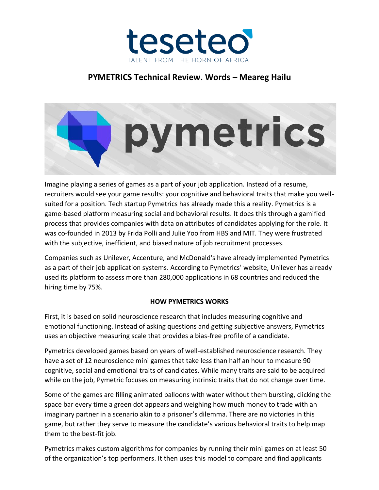

# **PYMETRICS Technical Review. Words – Meareg Hailu**



Imagine playing a series of games as a part of your job application. Instead of a resume, recruiters would see your game results: your cognitive and behavioral traits that make you wellsuited for a position. Tech startup Pymetrics has already made this a reality. Pymetrics is a game-based platform measuring social and behavioral results. It does this through a gamified process that provides companies with data on attributes of candidates applying for the role. It was co-founded in 2013 by Frida Polli and Julie Yoo from HBS and MIT. They were frustrated with the subjective, inefficient, and biased nature of job recruitment processes.

Companies such as Unilever, Accenture, and McDonald's have already implemented Pymetrics as a part of their job application systems. According to Pymetrics' website, Unilever has already used its platform to assess more than 280,000 applications in 68 countries and reduced the hiring time by 75%.

#### **HOW PYMETRICS WORKS**

First, it is based on solid neuroscience research that includes measuring cognitive and emotional functioning. Instead of asking questions and getting subjective answers, Pymetrics uses an objective measuring scale that provides a bias-free profile of a candidate.

Pymetrics developed games based on years of well-established neuroscience research. They have a set of 12 neuroscience mini games that take less than half an hour to measure 90 cognitive, social and emotional traits of candidates. While many traits are said to be acquired while on the job, Pymetric focuses on measuring intrinsic traits that do not change over time.

Some of the games are filling animated balloons with water without them bursting, clicking the space bar every time a green dot appears and weighing how much money to trade with an imaginary partner in a scenario akin to a prisoner's dilemma. There are no victories in this game, but rather they serve to measure the candidate's various behavioral traits to help map them to the best-fit job.

Pymetrics makes custom algorithms for companies by running their mini games on at least 50 of the organization's top performers. It then uses this model to compare and find applicants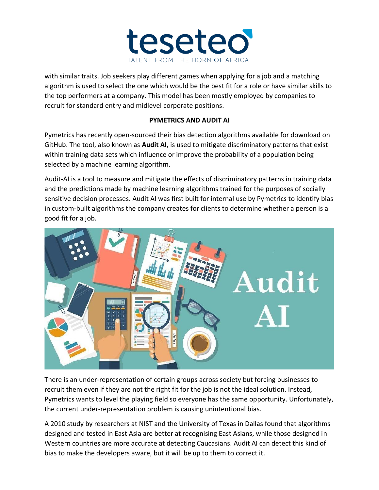

with similar traits. Job seekers play different games when applying for a job and a matching algorithm is used to select the one which would be the best fit for a role or have similar skills to the top performers at a company. This model has been mostly employed by companies to recruit for standard entry and midlevel corporate positions.

### **PYMETRICS AND AUDIT AI**

Pymetrics has recently open-sourced their bias detection algorithms available for download on GitHub. The tool, also known as **Audit AI**, is used to mitigate discriminatory patterns that exist within training data sets which influence or improve the probability of a population being selected by a machine learning algorithm.

Audit-AI is a tool to measure and mitigate the effects of discriminatory patterns in training data and the predictions made by machine learning algorithms trained for the purposes of socially sensitive decision processes. Audit AI was first built for internal use by Pymetrics to identify bias in custom-built algorithms the company creates for clients to determine whether a person is a good fit for a job.



There is an under-representation of certain groups across society but forcing businesses to recruit them even if they are not the right fit for the job is not the ideal solution. Instead, Pymetrics wants to level the playing field so everyone has the same opportunity. Unfortunately, the current under-representation problem is causing unintentional bias.

A 2010 study by researchers at NIST and the University of Texas in Dallas found that algorithms designed and tested in East Asia are better at recognising East Asians, while those designed in Western countries are more accurate at detecting Caucasians. Audit AI can detect this kind of bias to make the developers aware, but it will be up to them to correct it.